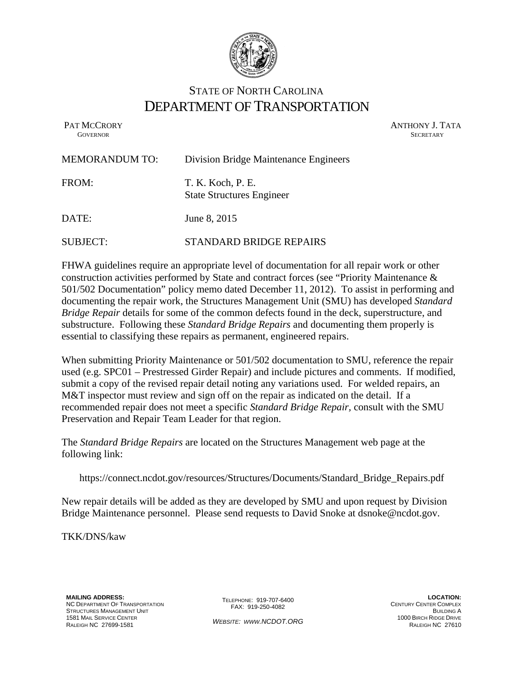

## STATE OF NORTH CAROLINA DEPARTMENT OF TRANSPORTATION

PAT MCCRORY ANTHONY J. TATA **GOVERNOR** SECRETARY

| <b>MEMORANDUM TO:</b> | Division Bridge Maintenance Engineers                 |
|-----------------------|-------------------------------------------------------|
| FROM:                 | T. K. Koch, P. E.<br><b>State Structures Engineer</b> |
| DATE:                 | June 8, 2015                                          |
| <b>SUBJECT:</b>       | STANDARD BRIDGE REPAIRS                               |

FHWA guidelines require an appropriate level of documentation for all repair work or other construction activities performed by State and contract forces (see "Priority Maintenance & 501/502 Documentation" policy memo dated December 11, 2012). To assist in performing and documenting the repair work, the Structures Management Unit (SMU) has developed *Standard Bridge Repair* details for some of the common defects found in the deck, superstructure, and substructure. Following these *Standard Bridge Repairs* and documenting them properly is essential to classifying these repairs as permanent, engineered repairs.

When submitting Priority Maintenance or 501/502 documentation to SMU, reference the repair used (e.g. SPC01 – Prestressed Girder Repair) and include pictures and comments. If modified, submit a copy of the revised repair detail noting any variations used. For welded repairs, an M&T inspector must review and sign off on the repair as indicated on the detail. If a recommended repair does not meet a specific *Standard Bridge Repair,* consult with the SMU Preservation and Repair Team Leader for that region.

The *Standard Bridge Repairs* are located on the Structures Management web page at the following link:

https://connect.ncdot.gov/resources/Structures/Documents/Standard\_Bridge\_Repairs.pdf

New repair details will be added as they are developed by SMU and upon request by Division Bridge Maintenance personnel. Please send requests to David Snoke at dsnoke@ncdot.gov.

TKK/DNS/kaw

**MAILING ADDRESS:**  NC DEPARTMENT OF TRANSPORTATION STRUCTURES MANAGEMENT UNIT 1581 MAIL SERVICE CENTER RALEIGH NC 27699-1581

TELEPHONE: 919-707-6400 FAX: 919-250-4082

*WEBSITE: WWW.NCDOT.ORG* 

**LOCATION:**  CENTURY CENTER COMPLEX **BUILDING A** 1000 BIRCH RIDGE DRIVE RALEIGH NC 27610